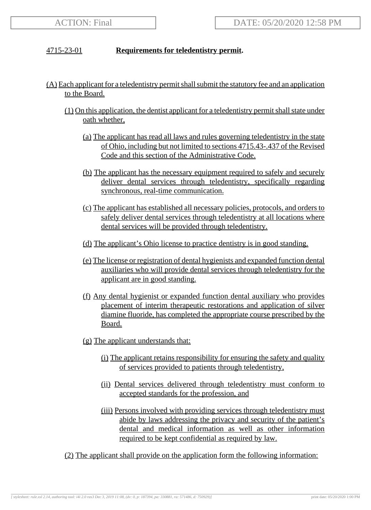## 4715-23-01 **Requirements for teledentistry permit.**

- (A) Each applicant for a teledentistry permit shall submit the statutory fee and an application to the Board.
	- (1) On this application, the dentist applicant for a teledentistry permit shall state under oath whether,
		- (a) The applicant has read all laws and rules governing teledentistry in the state of Ohio, including but not limited to sections 4715.43-.437 of the Revised Code and this section of the Administrative Code.
		- (b) The applicant has the necessary equipment required to safely and securely deliver dental services through teledentistry, specifically regarding synchronous, real-time communication.
		- (c) The applicant has established all necessary policies, protocols, and orders to safely deliver dental services through teledentistry at all locations where dental services will be provided through teledentistry.
		- (d) The applicant's Ohio license to practice dentistry is in good standing.
		- (e) The license or registration of dental hygienists and expanded function dental auxiliaries who will provide dental services through teledentistry for the applicant are in good standing.
		- (f) Any dental hygienist or expanded function dental auxiliary who provides placement of interim therapeutic restorations and application of silver diamine fluoride, has completed the appropriate course prescribed by the Board.
		- (g) The applicant understands that:
			- (i) The applicant retains responsibility for ensuring the safety and quality of services provided to patients through teledentistry,
			- (ii) Dental services delivered through teledentistry must conform to accepted standards for the profession, and
			- (iii) Persons involved with providing services through teledentistry must abide by laws addressing the privacy and security of the patient's dental and medical information as well as other information required to be kept confidential as required by law.
	- (2) The applicant shall provide on the application form the following information: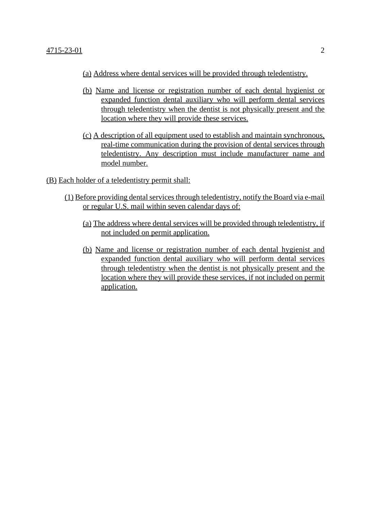- (a) Address where dental services will be provided through teledentistry.
- (b) Name and license or registration number of each dental hygienist or expanded function dental auxiliary who will perform dental services through teledentistry when the dentist is not physically present and the location where they will provide these services.
- (c) A description of all equipment used to establish and maintain synchronous, real-time communication during the provision of dental services through teledentistry. Any description must include manufacturer name and model number.
- (B) Each holder of a teledentistry permit shall:
	- (1) Before providing dental services through teledentistry, notify the Board via e-mail or regular U.S. mail within seven calendar days of:
		- (a) The address where dental services will be provided through teledentistry, if not included on permit application.
		- (b) Name and license or registration number of each dental hygienist and expanded function dental auxiliary who will perform dental services through teledentistry when the dentist is not physically present and the location where they will provide these services, if not included on permit application.